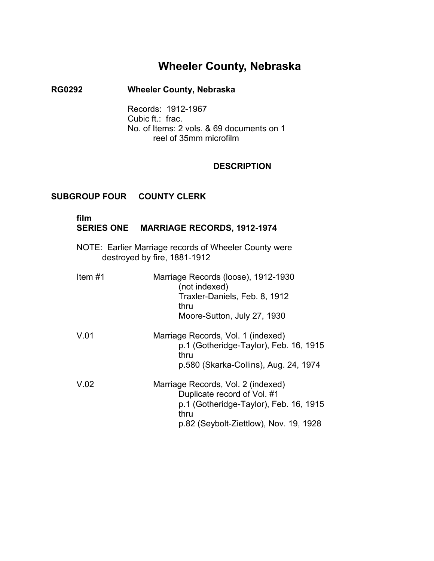# **Wheeler County, Nebraska**

## **RG0292 Wheeler County, Nebraska**

Records: 1912-1967 Cubic ft.: frac. No. of Items: 2 vols. & 69 documents on 1 reel of 35mm microfilm

#### **DESCRIPTION**

### **SUBGROUP FOUR COUNTY CLERK**

**film** 

## **SERIES ONE MARRIAGE RECORDS, 1912-1974**

NOTE: Earlier Marriage records of Wheeler County were destroyed by fire, 1881-1912

| Item $#1$ | Marriage Records (loose), 1912-1930<br>(not indexed)<br>Traxler-Daniels, Feb. 8, 1912<br>thru<br>Moore-Sutton, July 27, 1930                                  |
|-----------|---------------------------------------------------------------------------------------------------------------------------------------------------------------|
| V.01      | Marriage Records, Vol. 1 (indexed)<br>p.1 (Gotheridge-Taylor), Feb. 16, 1915<br>thru<br>p.580 (Skarka-Collins), Aug. 24, 1974                                 |
| V.02      | Marriage Records, Vol. 2 (indexed)<br>Duplicate record of Vol. #1<br>p.1 (Gotheridge-Taylor), Feb. 16, 1915<br>thru<br>p.82 (Seybolt-Ziettlow), Nov. 19, 1928 |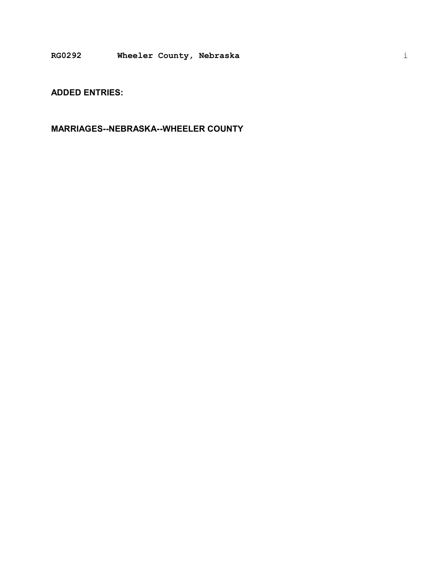**ADDED ENTRIES:** 

**MARRIAGES--NEBRASKA--WHEELER COUNTY**